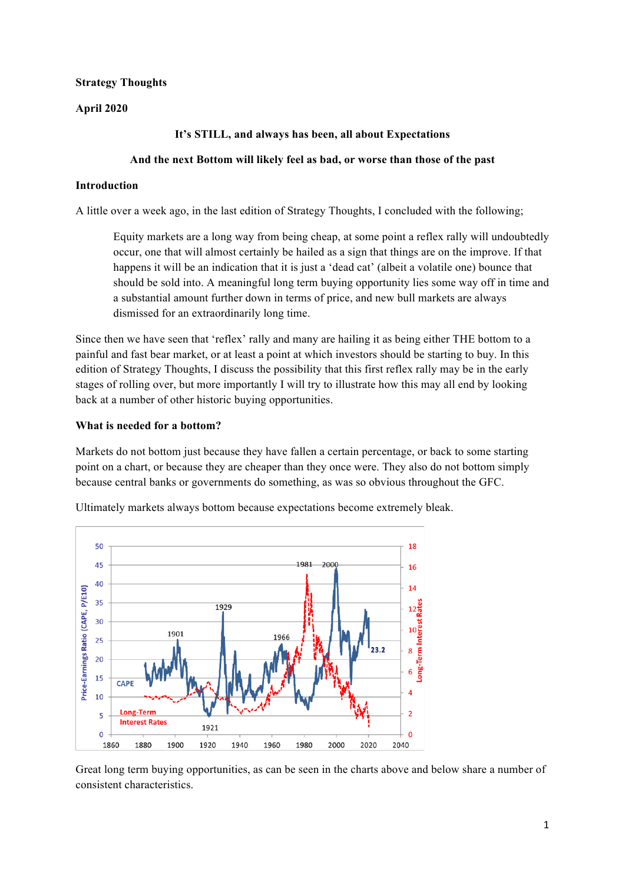## **Strategy Thoughts**

## **April 2020**

## **It's STILL, and always has been, all about Expectations**

### **And the next Bottom will likely feel as bad, or worse than those of the past**

### **Introduction**

A little over a week ago, in the last edition of Strategy Thoughts, I concluded with the following;

Equity markets are a long way from being cheap, at some point a reflex rally will undoubtedly occur, one that will almost certainly be hailed as a sign that things are on the improve. If that happens it will be an indication that it is just a 'dead cat' (albeit a volatile one) bounce that should be sold into. A meaningful long term buying opportunity lies some way off in time and a substantial amount further down in terms of price, and new bull markets are always dismissed for an extraordinarily long time.

Since then we have seen that 'reflex' rally and many are hailing it as being either THE bottom to a painful and fast bear market, or at least a point at which investors should be starting to buy. In this edition of Strategy Thoughts, I discuss the possibility that this first reflex rally may be in the early stages of rolling over, but more importantly I will try to illustrate how this may all end by looking back at a number of other historic buying opportunities.

## **What is needed for a bottom?**

Markets do not bottom just because they have fallen a certain percentage, or back to some starting point on a chart, or because they are cheaper than they once were. They also do not bottom simply because central banks or governments do something, as was so obvious throughout the GFC.



Ultimately markets always bottom because expectations become extremely bleak.

Great long term buying opportunities, as can be seen in the charts above and below share a number of consistent characteristics.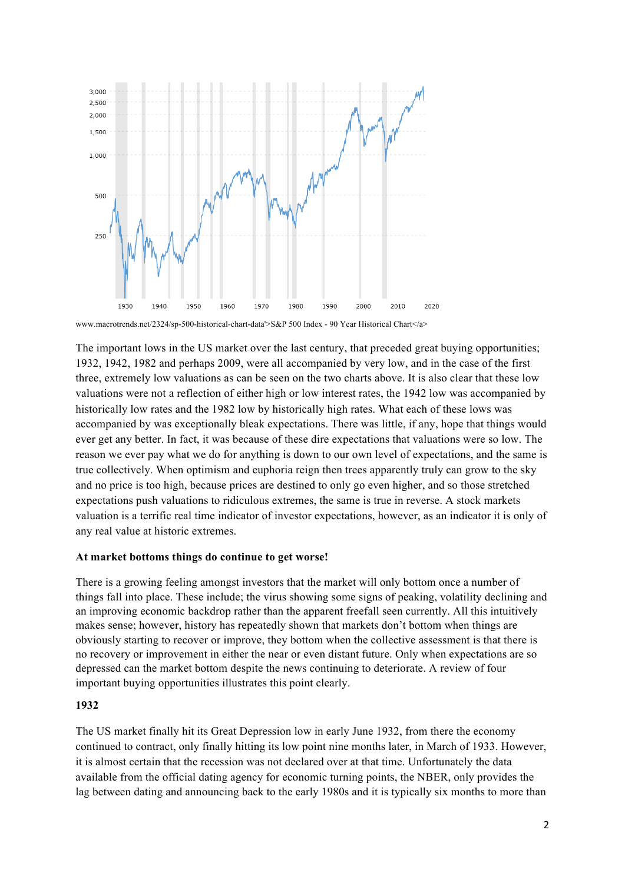

www.macrotrends.net/2324/sp-500-historical-chart-data'>S&P 500 Index - 90 Year Historical Chart</a>

The important lows in the US market over the last century, that preceded great buying opportunities; 1932, 1942, 1982 and perhaps 2009, were all accompanied by very low, and in the case of the first three, extremely low valuations as can be seen on the two charts above. It is also clear that these low valuations were not a reflection of either high or low interest rates, the 1942 low was accompanied by historically low rates and the 1982 low by historically high rates. What each of these lows was accompanied by was exceptionally bleak expectations. There was little, if any, hope that things would ever get any better. In fact, it was because of these dire expectations that valuations were so low. The reason we ever pay what we do for anything is down to our own level of expectations, and the same is true collectively. When optimism and euphoria reign then trees apparently truly can grow to the sky and no price is too high, because prices are destined to only go even higher, and so those stretched expectations push valuations to ridiculous extremes, the same is true in reverse. A stock markets valuation is a terrific real time indicator of investor expectations, however, as an indicator it is only of any real value at historic extremes.

#### **At market bottoms things do continue to get worse!**

There is a growing feeling amongst investors that the market will only bottom once a number of things fall into place. These include; the virus showing some signs of peaking, volatility declining and an improving economic backdrop rather than the apparent freefall seen currently. All this intuitively makes sense; however, history has repeatedly shown that markets don't bottom when things are obviously starting to recover or improve, they bottom when the collective assessment is that there is no recovery or improvement in either the near or even distant future. Only when expectations are so depressed can the market bottom despite the news continuing to deteriorate. A review of four important buying opportunities illustrates this point clearly.

### **1932**

The US market finally hit its Great Depression low in early June 1932, from there the economy continued to contract, only finally hitting its low point nine months later, in March of 1933. However, it is almost certain that the recession was not declared over at that time. Unfortunately the data available from the official dating agency for economic turning points, the NBER, only provides the lag between dating and announcing back to the early 1980s and it is typically six months to more than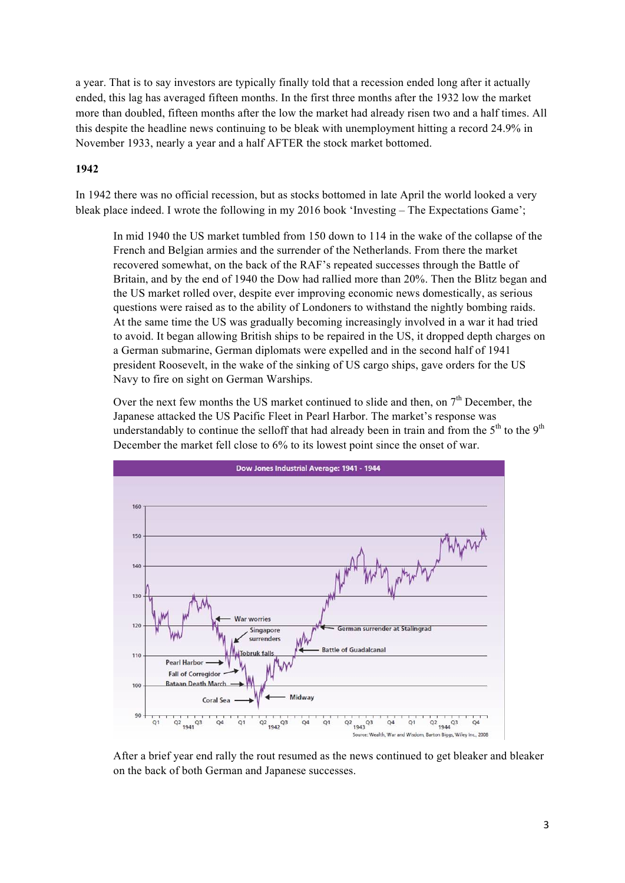a year. That is to say investors are typically finally told that a recession ended long after it actually ended, this lag has averaged fifteen months. In the first three months after the 1932 low the market more than doubled, fifteen months after the low the market had already risen two and a half times. All this despite the headline news continuing to be bleak with unemployment hitting a record 24.9% in November 1933, nearly a year and a half AFTER the stock market bottomed.

## **1942**

In 1942 there was no official recession, but as stocks bottomed in late April the world looked a very bleak place indeed. I wrote the following in my 2016 book 'Investing – The Expectations Game';

In mid 1940 the US market tumbled from 150 down to 114 in the wake of the collapse of the French and Belgian armies and the surrender of the Netherlands. From there the market recovered somewhat, on the back of the RAF's repeated successes through the Battle of Britain, and by the end of 1940 the Dow had rallied more than 20%. Then the Blitz began and the US market rolled over, despite ever improving economic news domestically, as serious questions were raised as to the ability of Londoners to withstand the nightly bombing raids. At the same time the US was gradually becoming increasingly involved in a war it had tried to avoid. It began allowing British ships to be repaired in the US, it dropped depth charges on a German submarine, German diplomats were expelled and in the second half of 1941 president Roosevelt, in the wake of the sinking of US cargo ships, gave orders for the US Navy to fire on sight on German Warships.

Over the next few months the US market continued to slide and then, on  $7<sup>th</sup>$  December, the Japanese attacked the US Pacific Fleet in Pearl Harbor. The market's response was understandably to continue the selloff that had already been in train and from the  $5<sup>th</sup>$  to the  $9<sup>th</sup>$ December the market fell close to 6% to its lowest point since the onset of war.



After a brief year end rally the rout resumed as the news continued to get bleaker and bleaker on the back of both German and Japanese successes.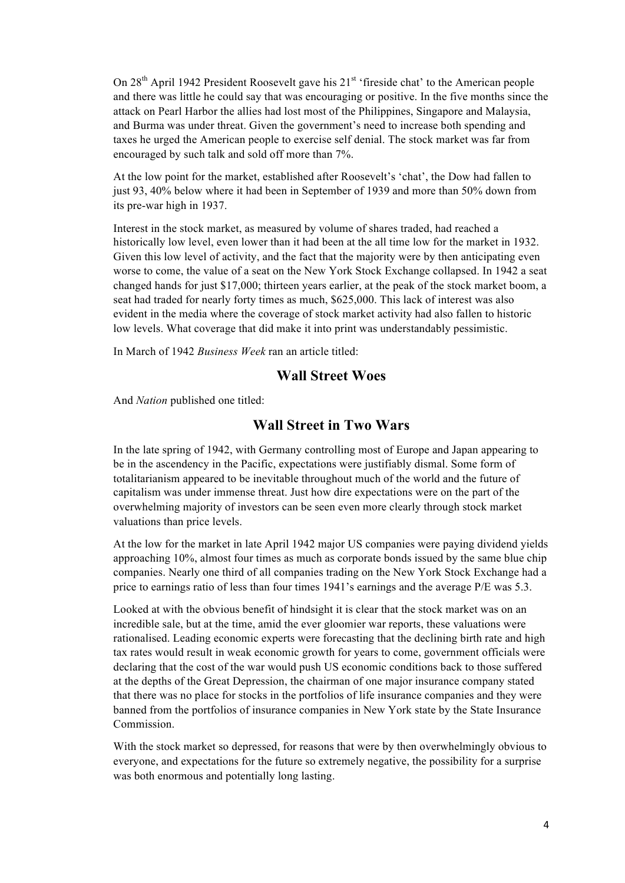On  $28<sup>th</sup>$  April 1942 President Roosevelt gave his  $21<sup>st</sup>$  'fireside chat' to the American people and there was little he could say that was encouraging or positive. In the five months since the attack on Pearl Harbor the allies had lost most of the Philippines, Singapore and Malaysia, and Burma was under threat. Given the government's need to increase both spending and taxes he urged the American people to exercise self denial. The stock market was far from encouraged by such talk and sold off more than 7%.

At the low point for the market, established after Roosevelt's 'chat', the Dow had fallen to just 93, 40% below where it had been in September of 1939 and more than 50% down from its pre-war high in 1937.

Interest in the stock market, as measured by volume of shares traded, had reached a historically low level, even lower than it had been at the all time low for the market in 1932. Given this low level of activity, and the fact that the majority were by then anticipating even worse to come, the value of a seat on the New York Stock Exchange collapsed. In 1942 a seat changed hands for just \$17,000; thirteen years earlier, at the peak of the stock market boom, a seat had traded for nearly forty times as much, \$625,000. This lack of interest was also evident in the media where the coverage of stock market activity had also fallen to historic low levels. What coverage that did make it into print was understandably pessimistic.

In March of 1942 *Business Week* ran an article titled:

# **Wall Street Woes**

And *Nation* published one titled:

# **Wall Street in Two Wars**

In the late spring of 1942, with Germany controlling most of Europe and Japan appearing to be in the ascendency in the Pacific, expectations were justifiably dismal. Some form of totalitarianism appeared to be inevitable throughout much of the world and the future of capitalism was under immense threat. Just how dire expectations were on the part of the overwhelming majority of investors can be seen even more clearly through stock market valuations than price levels.

At the low for the market in late April 1942 major US companies were paying dividend yields approaching 10%, almost four times as much as corporate bonds issued by the same blue chip companies. Nearly one third of all companies trading on the New York Stock Exchange had a price to earnings ratio of less than four times 1941's earnings and the average P/E was 5.3.

Looked at with the obvious benefit of hindsight it is clear that the stock market was on an incredible sale, but at the time, amid the ever gloomier war reports, these valuations were rationalised. Leading economic experts were forecasting that the declining birth rate and high tax rates would result in weak economic growth for years to come, government officials were declaring that the cost of the war would push US economic conditions back to those suffered at the depths of the Great Depression, the chairman of one major insurance company stated that there was no place for stocks in the portfolios of life insurance companies and they were banned from the portfolios of insurance companies in New York state by the State Insurance Commission.

With the stock market so depressed, for reasons that were by then overwhelmingly obvious to everyone, and expectations for the future so extremely negative, the possibility for a surprise was both enormous and potentially long lasting.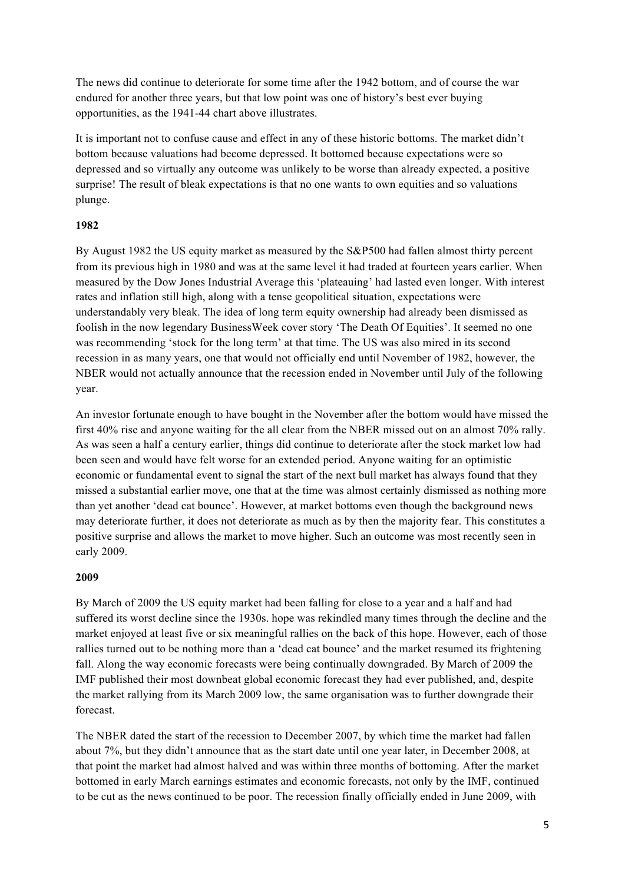The news did continue to deteriorate for some time after the 1942 bottom, and of course the war endured for another three years, but that low point was one of history's best ever buying opportunities, as the 1941-44 chart above illustrates.

It is important not to confuse cause and effect in any of these historic bottoms. The market didn't bottom because valuations had become depressed. It bottomed because expectations were so depressed and so virtually any outcome was unlikely to be worse than already expected, a positive surprise! The result of bleak expectations is that no one wants to own equities and so valuations plunge.

# **1982**

By August 1982 the US equity market as measured by the S&P500 had fallen almost thirty percent from its previous high in 1980 and was at the same level it had traded at fourteen years earlier. When measured by the Dow Jones Industrial Average this 'plateauing' had lasted even longer. With interest rates and inflation still high, along with a tense geopolitical situation, expectations were understandably very bleak. The idea of long term equity ownership had already been dismissed as foolish in the now legendary BusinessWeek cover story 'The Death Of Equities'. It seemed no one was recommending 'stock for the long term' at that time. The US was also mired in its second recession in as many years, one that would not officially end until November of 1982, however, the NBER would not actually announce that the recession ended in November until July of the following year.

An investor fortunate enough to have bought in the November after the bottom would have missed the first 40% rise and anyone waiting for the all clear from the NBER missed out on an almost 70% rally. As was seen a half a century earlier, things did continue to deteriorate after the stock market low had been seen and would have felt worse for an extended period. Anyone waiting for an optimistic economic or fundamental event to signal the start of the next bull market has always found that they missed a substantial earlier move, one that at the time was almost certainly dismissed as nothing more than yet another 'dead cat bounce'. However, at market bottoms even though the background news may deteriorate further, it does not deteriorate as much as by then the majority fear. This constitutes a positive surprise and allows the market to move higher. Such an outcome was most recently seen in early 2009.

# **2009**

By March of 2009 the US equity market had been falling for close to a year and a half and had suffered its worst decline since the 1930s. hope was rekindled many times through the decline and the market enjoyed at least five or six meaningful rallies on the back of this hope. However, each of those rallies turned out to be nothing more than a 'dead cat bounce' and the market resumed its frightening fall. Along the way economic forecasts were being continually downgraded. By March of 2009 the IMF published their most downbeat global economic forecast they had ever published, and, despite the market rallying from its March 2009 low, the same organisation was to further downgrade their forecast.

The NBER dated the start of the recession to December 2007, by which time the market had fallen about 7%, but they didn't announce that as the start date until one year later, in December 2008, at that point the market had almost halved and was within three months of bottoming. After the market bottomed in early March earnings estimates and economic forecasts, not only by the IMF, continued to be cut as the news continued to be poor. The recession finally officially ended in June 2009, with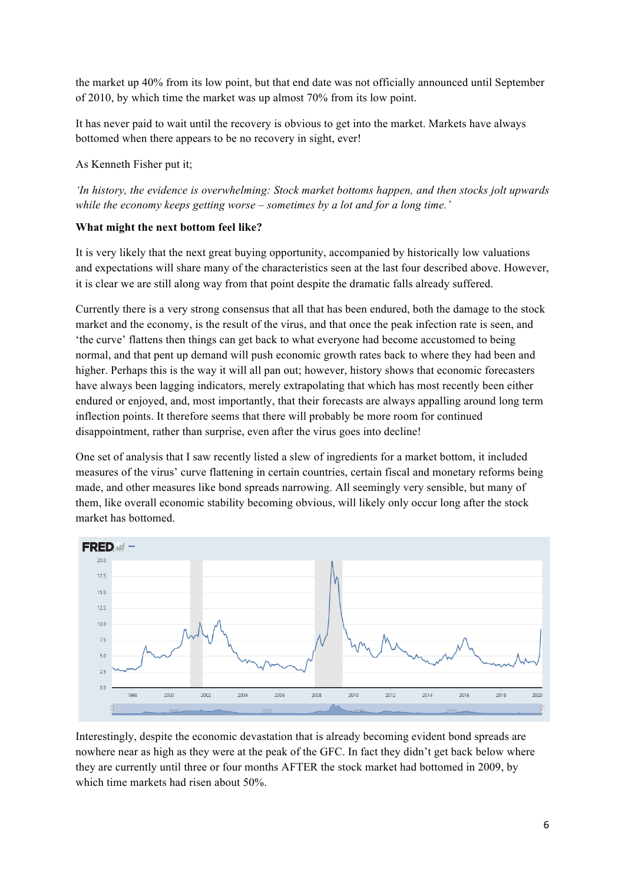the market up 40% from its low point, but that end date was not officially announced until September of 2010, by which time the market was up almost 70% from its low point.

It has never paid to wait until the recovery is obvious to get into the market. Markets have always bottomed when there appears to be no recovery in sight, ever!

As Kenneth Fisher put it;

*'In history, the evidence is overwhelming: Stock market bottoms happen, and then stocks jolt upwards while the economy keeps getting worse – sometimes by a lot and for a long time.'* 

## **What might the next bottom feel like?**

It is very likely that the next great buying opportunity, accompanied by historically low valuations and expectations will share many of the characteristics seen at the last four described above. However, it is clear we are still along way from that point despite the dramatic falls already suffered.

Currently there is a very strong consensus that all that has been endured, both the damage to the stock market and the economy, is the result of the virus, and that once the peak infection rate is seen, and 'the curve' flattens then things can get back to what everyone had become accustomed to being normal, and that pent up demand will push economic growth rates back to where they had been and higher. Perhaps this is the way it will all pan out; however, history shows that economic forecasters have always been lagging indicators, merely extrapolating that which has most recently been either endured or enjoyed, and, most importantly, that their forecasts are always appalling around long term inflection points. It therefore seems that there will probably be more room for continued disappointment, rather than surprise, even after the virus goes into decline!

One set of analysis that I saw recently listed a slew of ingredients for a market bottom, it included measures of the virus' curve flattening in certain countries, certain fiscal and monetary reforms being made, and other measures like bond spreads narrowing. All seemingly very sensible, but many of them, like overall economic stability becoming obvious, will likely only occur long after the stock market has bottomed.



Interestingly, despite the economic devastation that is already becoming evident bond spreads are nowhere near as high as they were at the peak of the GFC. In fact they didn't get back below where they are currently until three or four months AFTER the stock market had bottomed in 2009, by which time markets had risen about 50%.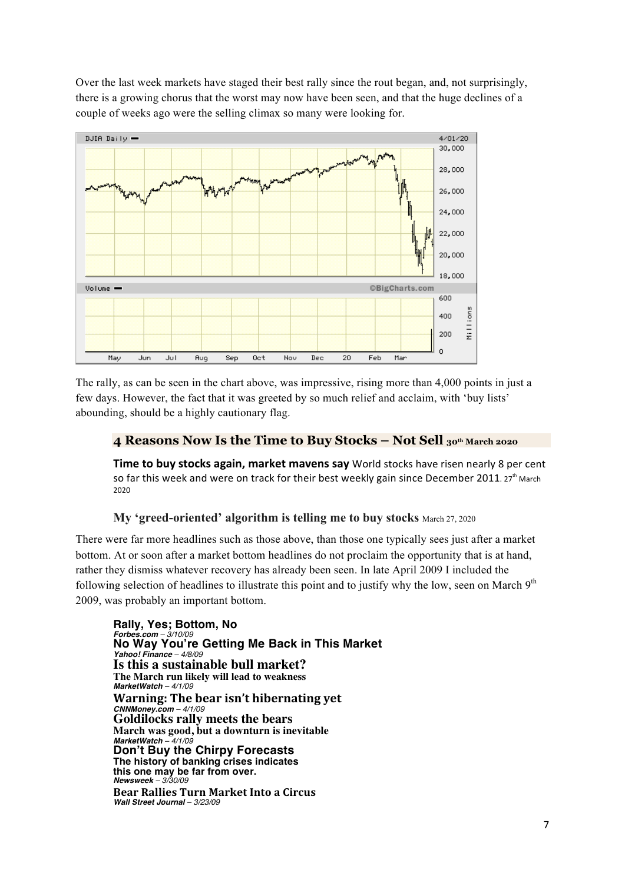Over the last week markets have staged their best rally since the rout began, and, not surprisingly, there is a growing chorus that the worst may now have been seen, and that the huge declines of a couple of weeks ago were the selling climax so many were looking for.



The rally, as can be seen in the chart above, was impressive, rising more than 4,000 points in just a few days. However, the fact that it was greeted by so much relief and acclaim, with 'buy lists' abounding, should be a highly cautionary flag.

# **4 Reasons Now Is the Time to Buy Stocks – Not Sell 30th March 2020**

**Time to buy stocks again, market mavens say** World stocks have risen nearly 8 per cent so far this week and were on track for their best weekly gain since December 2011. 27<sup>th</sup> March 2020

# **My 'greed-oriented' algorithm is telling me to buy stocks** March 27, 2020

There were far more headlines such as those above, than those one typically sees just after a market bottom. At or soon after a market bottom headlines do not proclaim the opportunity that is at hand, rather they dismiss whatever recovery has already been seen. In late April 2009 I included the following selection of headlines to illustrate this point and to justify why the low, seen on March  $9<sup>th</sup>$ 2009, was probably an important bottom.

**Rally, Yes; Bottom, No** *Forbes.com – 3/10/09* **No Way You're Getting Me Back in This Market** *Yahoo! Finance – 4/8/09* **Is this a sustainable bull market? The March run likely will lead to weakness** *MarketWatch – 4/1/09* **Warning: The bear isn't hibernating yet** *CNNMoney.com – 4/1/09* **Goldilocks rally meets the bears March was good, but a downturn is inevitable** *MarketWatch – 4/1/09* **Don't Buy the Chirpy Forecasts The history of banking crises indicates this one may be far from over.** *Newsweek – 3/30/09* **Bear Rallies Turn Market Into a Circus**

*Wall Street Journal – 3/23/09*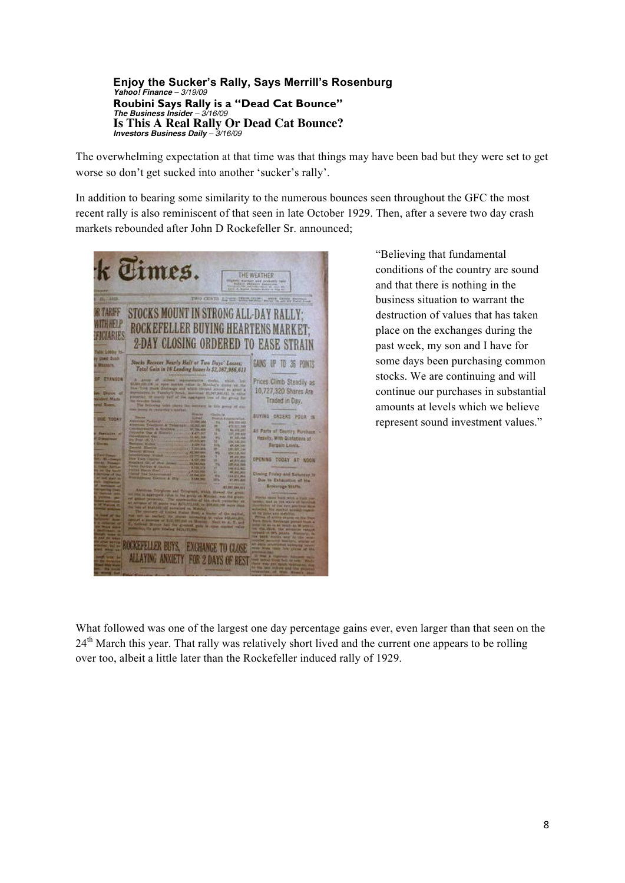**Enjoy the Sucker's Rally, Says Merrill's Rosenburg** *Yahoo! Finance – 3/19/09* **Roubini Says Rally is a "Dead Cat Bounce"** *The Business Insider – 3/16/09* **Is This A Real Rally Or Dead Cat Bounce?** *Investors Business Daily – 3/16/09*

The overwhelming expectation at that time was that things may have been bad but they were set to get worse so don't get sucked into another 'sucker's rally'.

In addition to bearing some similarity to the numerous bounces seen throughout the GFC the most recent rally is also reminiscent of that seen in late October 1929. Then, after a severe two day crash markets rebounded after John D Rockefeller Sr. announced;



"Believing that fundamental conditions of the country are sound and that there is nothing in the business situation to warrant the destruction of values that has taken place on the exchanges during the past week, my son and I have for some days been purchasing common stocks. We are continuing and will continue our purchases in substantial amounts at levels which we believe represent sound investment values."

What followed was one of the largest one day percentage gains ever, even larger than that seen on the 24<sup>th</sup> March this year. That rally was relatively short lived and the current one appears to be rolling over too, albeit a little later than the Rockefeller induced rally of 1929.